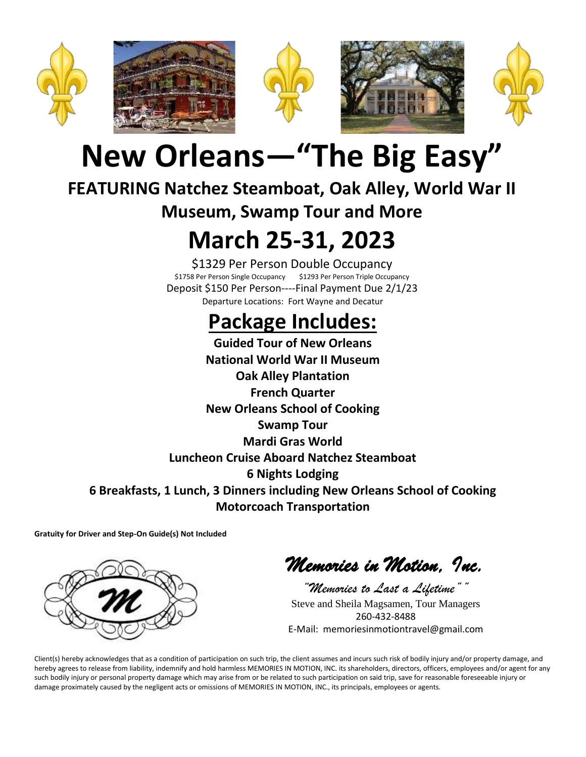

# **New Orleans—"The Big Easy"**

## **FEATURING Natchez Steamboat, Oak Alley, World War II**

### **Museum, Swamp Tour and More**

## **March 25-31, 2023**

\$1329 Per Person Double Occupancy \$1758 Per Person Single Occupancy \$1293 Per Person Triple Occupancy Deposit \$150 Per Person----Final Payment Due 2/1/23 Departure Locations: Fort Wayne and Decatur

## **Package Includes:**

**Guided Tour of New Orleans National World War II Museum Oak Alley Plantation French Quarter New Orleans School of Cooking Swamp Tour Mardi Gras World Luncheon Cruise Aboard Natchez Steamboat 6 Nights Lodging 6 Breakfasts, 1 Lunch, 3 Dinners including New Orleans School of Cooking Motorcoach Transportation**

**Gratuity for Driver and Step-On Guide(s) Not Included**



*Memories in Motion, Inc.* 

*"Memories to Last a Lifetime""* Steve and Sheila Magsamen, Tour Managers 260-432-8488 E-Mail: memoriesinmotiontravel@gmail.com

Client(s) hereby acknowledges that as a condition of participation on such trip, the client assumes and incurs such risk of bodily injury and/or property damage, and hereby agrees to release from liability, indemnify and hold harmless MEMORIES IN MOTION, INC. its shareholders, directors, officers, employees and/or agent for any such bodily injury or personal property damage which may arise from or be related to such participation on said trip, save for reasonable foreseeable injury or damage proximately caused by the negligent acts or omissions of MEMORIES IN MOTION, INC., its principals, employees or agents.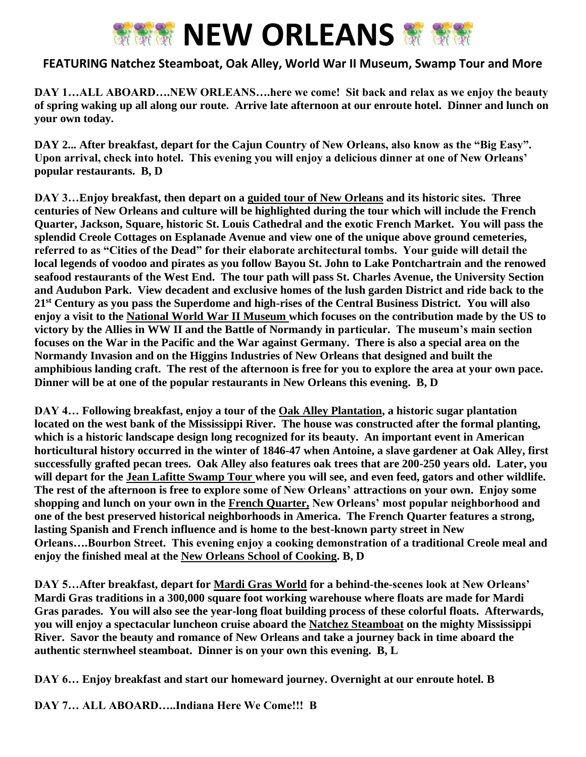

#### **FEATURING Natchez Steamboat, Oak Alley, World War II Museum, Swamp Tour and More**

**DAY 1…ALL ABOARD….NEW ORLEANS….here we come! Sit back and relax as we enjoy the beauty of spring waking up all along our route. Arrive late afternoon at our enroute hotel. Dinner and lunch on your own today.**

**DAY 2... After breakfast, depart for the Cajun Country of New Orleans, also know as the "Big Easy". Upon arrival, check into hotel. This evening you will enjoy a delicious dinner at one of New Orleans' popular restaurants. B, D**

**DAY 3…Enjoy breakfast, then depart on a guided tour of New Orleans and its historic sites. Three centuries of New Orleans and culture will be highlighted during the tour which will include the French Quarter, Jackson, Square, historic St. Louis Cathedral and the exotic French Market. You will pass the splendid Creole Cottages on Esplanade Avenue and view one of the unique above ground cemeteries, referred to as "Cities of the Dead" for their elaborate architectural tombs. Your guide will detail the local legends of voodoo and pirates as you follow Bayou St. John to Lake Pontchartrain and the renowed seafood restaurants of the West End. The tour path will pass St. Charles Avenue, the University Section and Audubon Park. View decadent and exclusive homes of the lush garden District and ride back to the 21st Century as you pass the Superdome and high-rises of the Central Business District. You will also enjoy a visit to the National World War II Museum which focuses on the contribution made by the US to victory by the Allies in WW II and the Battle of Normandy in particular. The museum's main section focuses on the War in the Pacific and the War against Germany. There is also a special area on the Normandy Invasion and on the Higgins Industries of New Orleans that designed and built the amphibious landing craft. The rest of the afternoon is free for you to explore the area at your own pace. Dinner will be at one of the popular restaurants in New Orleans this evening. B, D**

**DAY 4… Following breakfast, enjoy a tour of the Oak Alley Plantation, a historic sugar plantation located on the west bank of the Mississippi River. The house was constructed after the formal planting, which is a historic landscape design long recognized for its beauty. An important event in American horticultural history occurred in the winter of 1846-47 when Antoine, a slave gardener at Oak Alley, first successfully grafted pecan trees. Oak Alley also features oak trees that are 200-250 years old. Later, you will depart for the Jean Lafitte Swamp Tour where you will see, and even feed, gators and other wildlife. The rest of the afternoon is free to explore some of New Orleans' attractions on your own. Enjoy some shopping and lunch on your own in the French Quarter, New Orleans' most popular neighborhood and one of the best preserved historical neighborhoods in America. The French Quarter features a strong, lasting Spanish and French influence and is home to the best-known party street in New Orleans….Bourbon Street. This evening enjoy a cooking demonstration of a traditional Creole meal and enjoy the finished meal at the New Orleans School of Cooking. B, D**

**DAY 5…After breakfast, depart for Mardi Gras World for a behind-the-scenes look at New Orleans' Mardi Gras traditions in a 300,000 square foot working warehouse where floats are made for Mardi Gras parades. You will also see the year-long float building process of these colorful floats. Afterwards, you will enjoy a spectacular luncheon cruise aboard the Natchez Steamboat on the mighty Mississippi River. Savor the beauty and romance of New Orleans and take a journey back in time aboard the authentic sternwheel steamboat. Dinner is on your own this evening. B, L**

**DAY 6… Enjoy breakfast and start our homeward journey. Overnight at our enroute hotel. B**

**DAY 7… ALL ABOARD…..Indiana Here We Come!!! B**